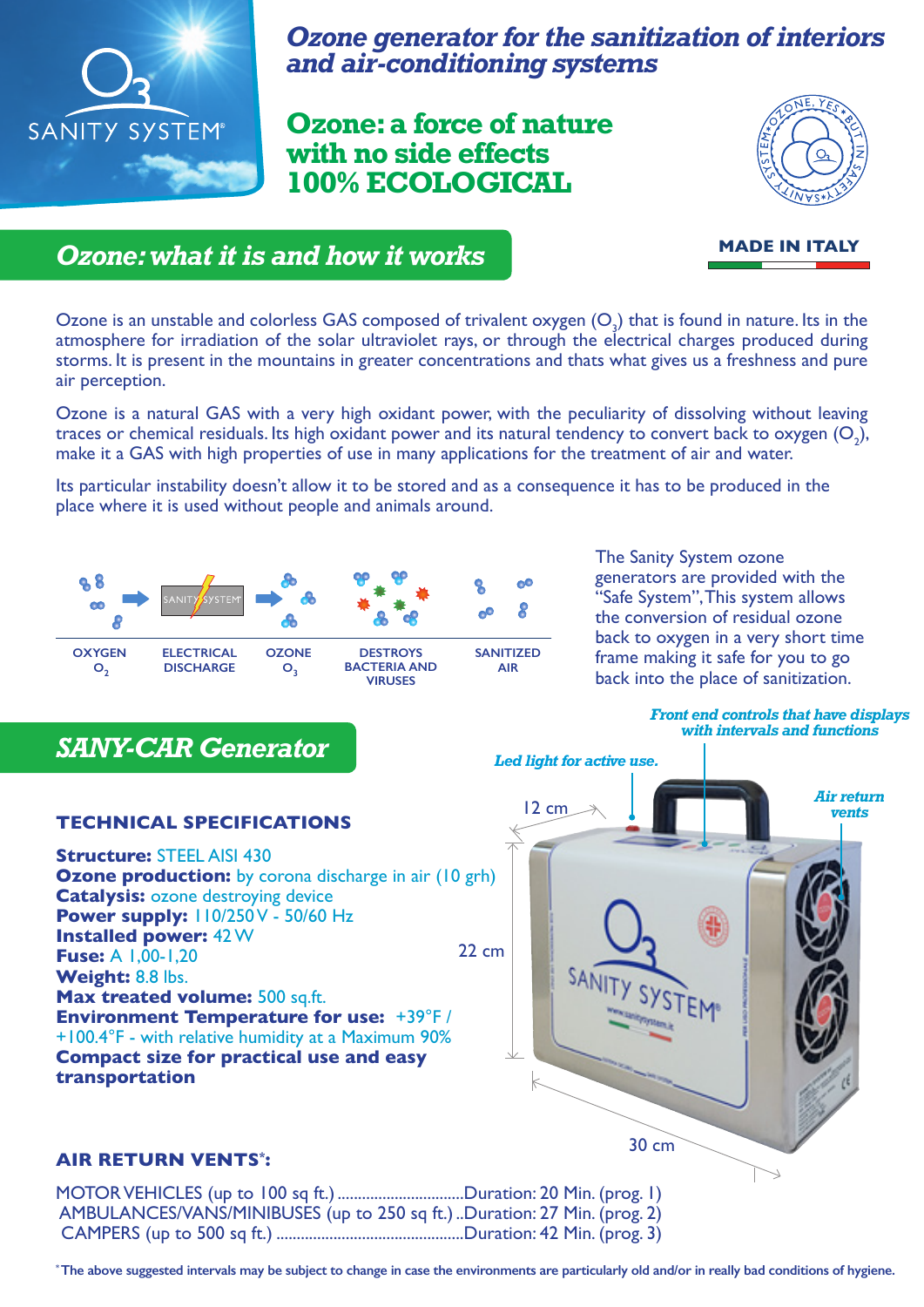

*Ozone generator for the sanitization of interiors and air-conditioning systems*

**Ozone: a force of nature with no side effects 100% ECOLOGICAL**



**MADE IN ITALY**

## *Ozone: what it is and how it works*

Ozone is an unstable and colorless GAS composed of trivalent oxygen  $(O_3)$  that is found in nature. Its in the atmosphere for irradiation of the solar ultraviolet rays, or through the electrical charges produced during storms. It is present in the mountains in greater concentrations and thats what gives us a freshness and pure air perception.

Ozone is a natural GAS with a very high oxidant power, with the peculiarity of dissolving without leaving traces or chemical residuals. Its high oxidant power and its natural tendency to convert back to oxygen  $(O_2)$ , make it a GAS with high properties of use in many applications for the treatment of air and water.

Its particular instability doesn't allow it to be stored and as a consequence it has to be produced in the place where it is used without people and animals around.



The Sanity System ozone generators are provided with the "Safe System", This system allows the conversion of residual ozone back to oxygen in a very short time frame making it safe for you to go back into the place of sanitization.

#### *Front end controls that have displays with intervals and functions*

**Ozone production:** by corona discharge in air (10 grh) **Catalysis: ozone destroying device Power supply:**  $110/250V - 50/60 Hz$ **Installed power:** 42 W **Fuse:** A 1,00-1,20 **Weight:** 8.8 lbs. **Max treated volume: 500 sq.ft. Environment Temperature for use:** +39°F / +100.4°F - with relative humidity at a Maximum 90% **Compact size for practical use and easy transportation**

# *Air return Led light for active use.* 30 cm 22 cm

#### **AIR RETURN VENTS\* :**

MOTOR VEHICLES (up to 100 sq ft.).................................Duration: 20 Min. (prog. 1) AMBULANCES/VANS/MINIBUSES (up to 250 sq ft.)..Duration: 27 Min. (prog. 2) CAMPERS (up to 500 sq ft.) ..............................................Duration: 42 Min. (prog. 3)

**\* The above suggested intervals may be subject to change in case the environments are particularly old and/or in really bad conditions of hygiene.**